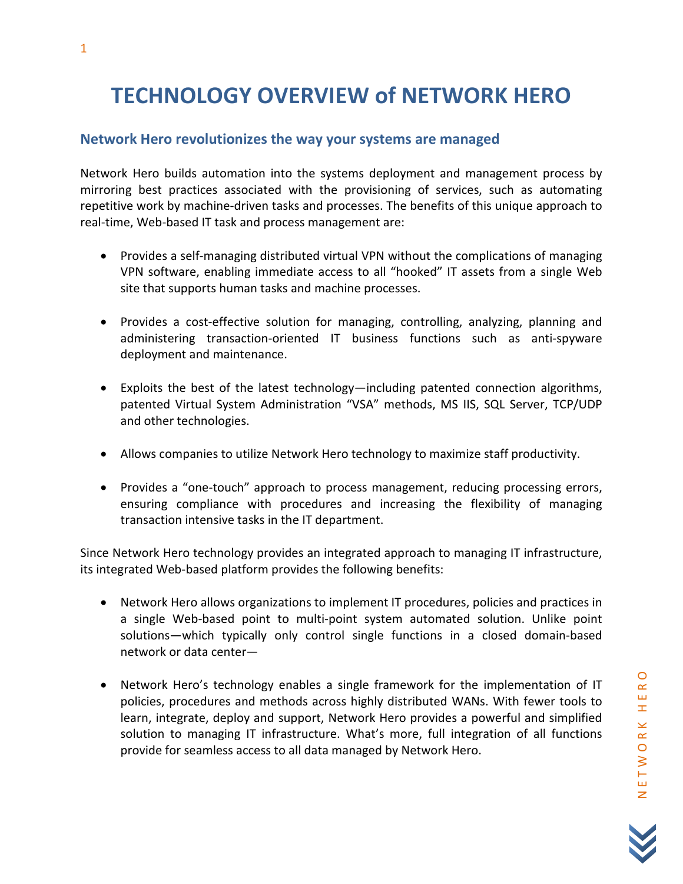# TECHNOLOGY OVERVIEW of NETWORK HERO

# Network Hero revolutionizes the way your systems are managed

Network Hero builds automation into the systems deployment and management process by mirroring best practices associated with the provisioning of services, such as automating repetitive work by machine-driven tasks and processes. The benefits of this unique approach to real-time, Web-based IT task and process management are:

- Provides a self-managing distributed virtual VPN without the complications of managing VPN software, enabling immediate access to all "hooked" IT assets from a single Web site that supports human tasks and machine processes.
- Provides a cost-effective solution for managing, controlling, analyzing, planning and administering transaction-oriented IT business functions such as anti-spyware deployment and maintenance.
- Exploits the best of the latest technology—including patented connection algorithms, patented Virtual System Administration "VSA" methods, MS IIS, SQL Server, TCP/UDP and other technologies.
- Allows companies to utilize Network Hero technology to maximize staff productivity.
- Provides a "one-touch" approach to process management, reducing processing errors, ensuring compliance with procedures and increasing the flexibility of managing transaction intensive tasks in the IT department.

Since Network Hero technology provides an integrated approach to managing IT infrastructure, its integrated Web-based platform provides the following benefits:

- Network Hero allows organizations to implement IT procedures, policies and practices in a single Web-based point to multi-point system automated solution. Unlike point solutions—which typically only control single functions in a closed domain-based network or data center—
- Network Hero's technology enables a single framework for the implementation of IT policies, procedures and methods across highly distributed WANs. With fewer tools to learn, integrate, deploy and support, Network Hero provides a powerful and simplified solution to managing IT infrastructure. What's more, full integration of all functions provide for seamless access to all data managed by Network Hero.

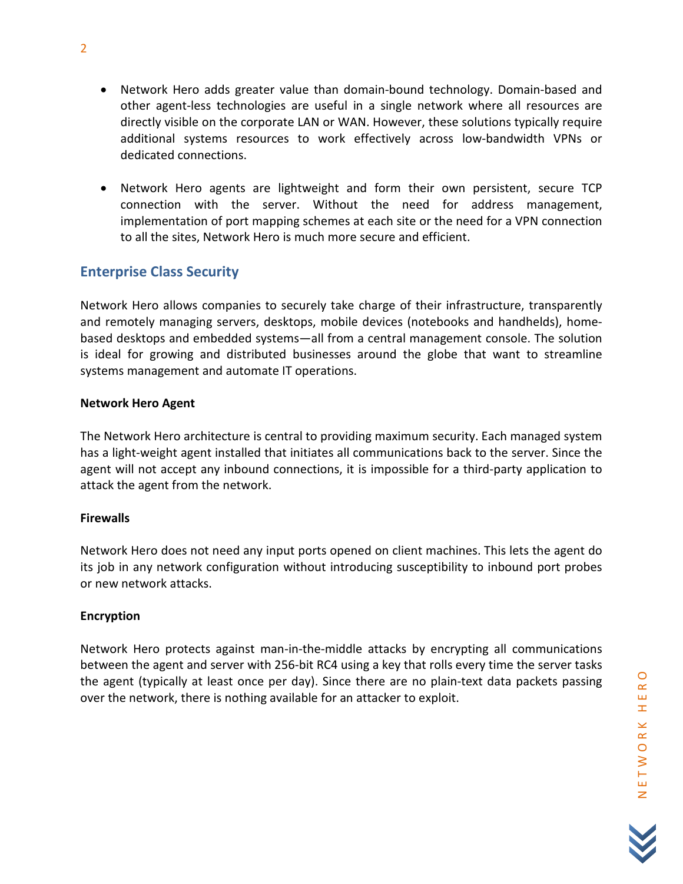- Network Hero adds greater value than domain-bound technology. Domain-based and other agent-less technologies are useful in a single network where all resources are directly visible on the corporate LAN or WAN. However, these solutions typically require additional systems resources to work effectively across low-bandwidth VPNs or dedicated connections.
- Network Hero agents are lightweight and form their own persistent, secure TCP connection with the server. Without the need for address management, implementation of port mapping schemes at each site or the need for a VPN connection to all the sites, Network Hero is much more secure and efficient.

# Enterprise Class Security

Network Hero allows companies to securely take charge of their infrastructure, transparently and remotely managing servers, desktops, mobile devices (notebooks and handhelds), homebased desktops and embedded systems—all from a central management console. The solution is ideal for growing and distributed businesses around the globe that want to streamline systems management and automate IT operations.

# Network Hero Agent

The Network Hero architecture is central to providing maximum security. Each managed system has a light-weight agent installed that initiates all communications back to the server. Since the agent will not accept any inbound connections, it is impossible for a third-party application to attack the agent from the network.

# **Firewalls**

Network Hero does not need any input ports opened on client machines. This lets the agent do its job in any network configuration without introducing susceptibility to inbound port probes or new network attacks.

# Encryption

Network Hero protects against man-in-the-middle attacks by encrypting all communications between the agent and server with 256-bit RC4 using a key that rolls every time the server tasks the agent (typically at least once per day). Since there are no plain-text data packets passing over the network, there is nothing available for an attacker to exploit.

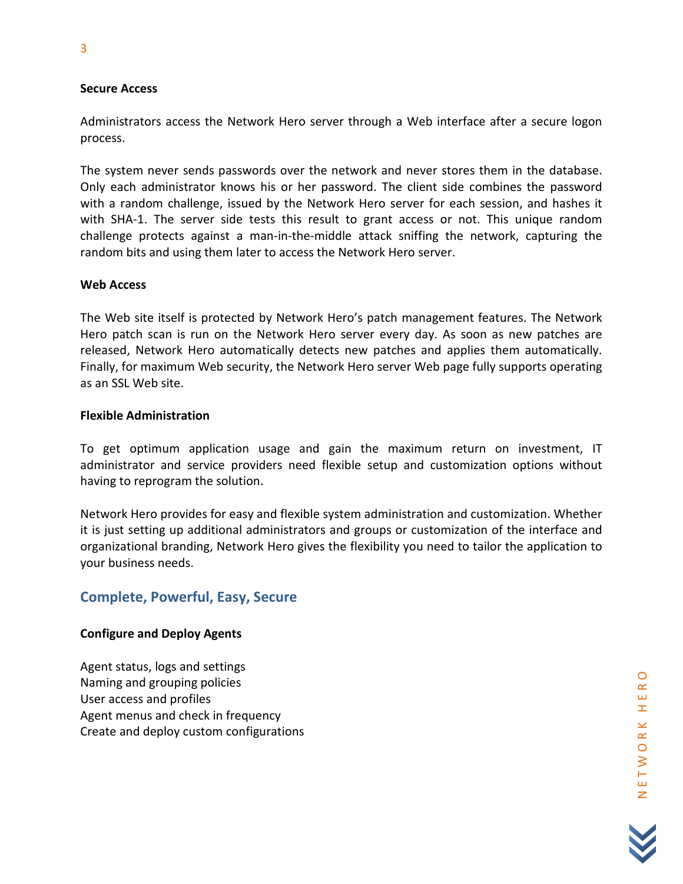#### Secure Access

Administrators access the Network Hero server through a Web interface after a secure logon process.

The system never sends passwords over the network and never stores them in the database. Only each administrator knows his or her password. The client side combines the password with a random challenge, issued by the Network Hero server for each session, and hashes it with SHA-1. The server side tests this result to grant access or not. This unique random challenge protects against a man-in-the-middle attack sniffing the network, capturing the random bits and using them later to access the Network Hero server.

#### Web Access

The Web site itself is protected by Network Hero's patch management features. The Network Hero patch scan is run on the Network Hero server every day. As soon as new patches are released, Network Hero automatically detects new patches and applies them automatically. Finally, for maximum Web security, the Network Hero server Web page fully supports operating as an SSL Web site.

#### Flexible Administration

To get optimum application usage and gain the maximum return on investment, IT administrator and service providers need flexible setup and customization options without having to reprogram the solution.

Network Hero provides for easy and flexible system administration and customization. Whether it is just setting up additional administrators and groups or customization of the interface and organizational branding, Network Hero gives the flexibility you need to tailor the application to your business needs.

# Complete, Powerful, Easy, Secure

# Configure and Deploy Agents

Agent status, logs and settings Naming and grouping policies User access and profiles Agent menus and check in frequency Create and deploy custom configurations

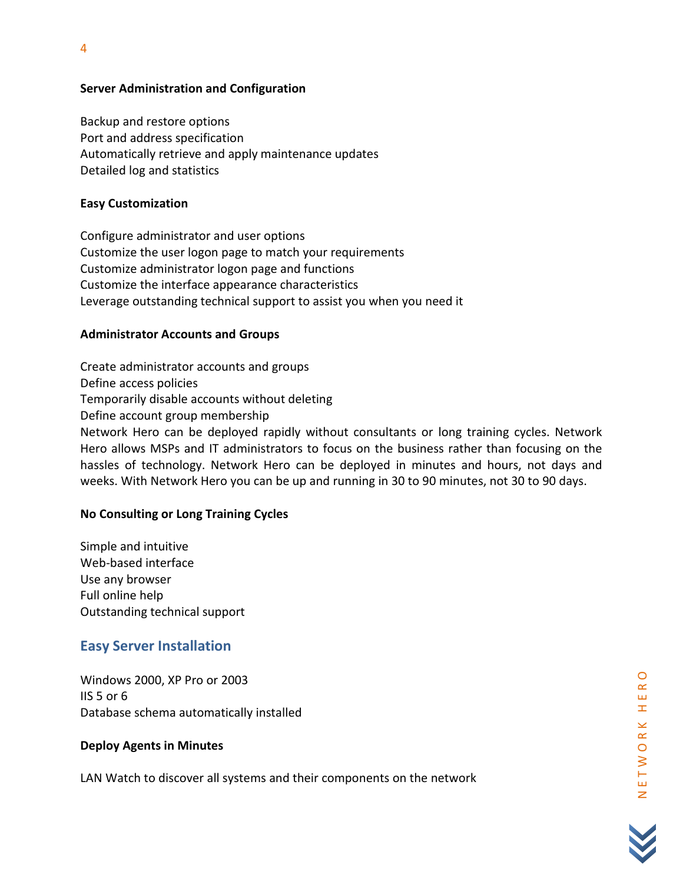# Server Administration and Configuration

Backup and restore options Port and address specification Automatically retrieve and apply maintenance updates Detailed log and statistics

# Easy Customization

Configure administrator and user options Customize the user logon page to match your requirements Customize administrator logon page and functions Customize the interface appearance characteristics Leverage outstanding technical support to assist you when you need it

# Administrator Accounts and Groups

Create administrator accounts and groups Define access policies Temporarily disable accounts without deleting Define account group membership Network Hero can be deployed rapidly without consultants or long training cycles. Network Hero allows MSPs and IT administrators to focus on the business rather than focusing on the hassles of technology. Network Hero can be deployed in minutes and hours, not days and weeks. With Network Hero you can be up and running in 30 to 90 minutes, not 30 to 90 days.

# No Consulting or Long Training Cycles

Simple and intuitive Web-based interface Use any browser Full online help Outstanding technical support

# Easy Server Installation

Windows 2000, XP Pro or 2003 IIS 5 or 6 Database schema automatically installed

# Deploy Agents in Minutes

LAN Watch to discover all systems and their components on the network

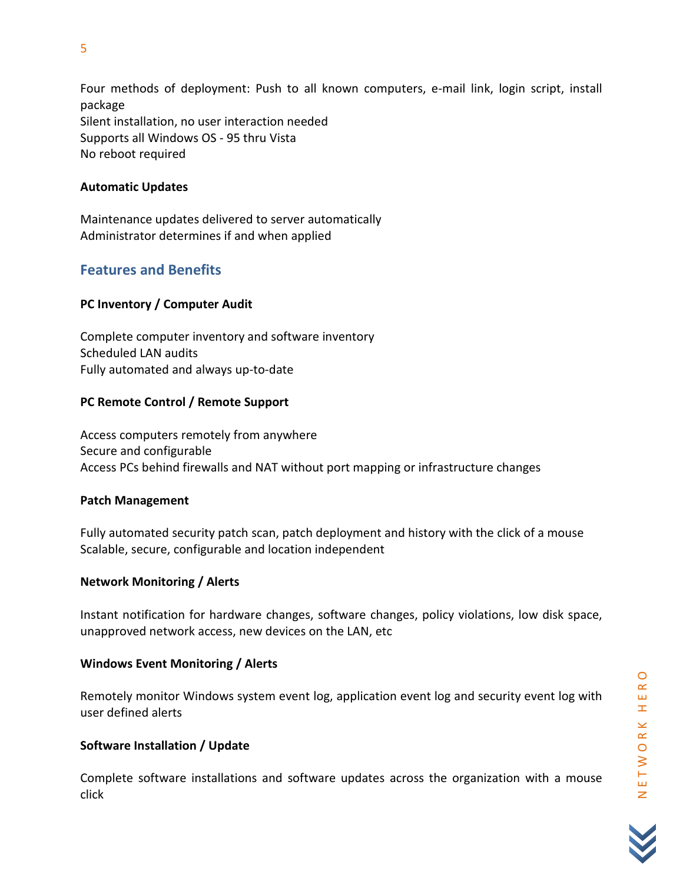Four methods of deployment: Push to all known computers, e-mail link, login script, install package Silent installation, no user interaction needed Supports all Windows OS - 95 thru Vista No reboot required

# Automatic Updates

Maintenance updates delivered to server automatically Administrator determines if and when applied

# Features and Benefits

# PC Inventory / Computer Audit

Complete computer inventory and software inventory Scheduled LAN audits Fully automated and always up-to-date

# PC Remote Control / Remote Support

Access computers remotely from anywhere Secure and configurable Access PCs behind firewalls and NAT without port mapping or infrastructure changes

# Patch Management

Fully automated security patch scan, patch deployment and history with the click of a mouse Scalable, secure, configurable and location independent

# Network Monitoring / Alerts

Instant notification for hardware changes, software changes, policy violations, low disk space, unapproved network access, new devices on the LAN, etc

# Windows Event Monitoring / Alerts

Remotely monitor Windows system event log, application event log and security event log with user defined alerts

# Software Installation / Update

Complete software installations and software updates across the organization with a mouse click

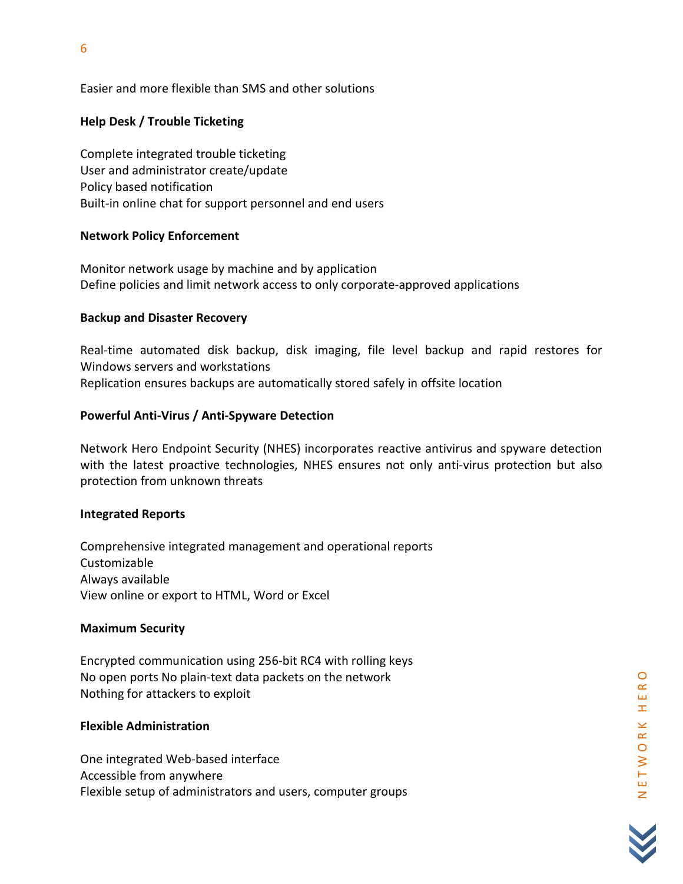Easier and more flexible than SMS and other solutions

# Help Desk / Trouble Ticketing

Complete integrated trouble ticketing User and administrator create/update Policy based notification Built-in online chat for support personnel and end users

# Network Policy Enforcement

Monitor network usage by machine and by application Define policies and limit network access to only corporate-approved applications

# Backup and Disaster Recovery

Real-time automated disk backup, disk imaging, file level backup and rapid restores for Windows servers and workstations Replication ensures backups are automatically stored safely in offsite location

# Powerful Anti-Virus / Anti-Spyware Detection

Network Hero Endpoint Security (NHES) incorporates reactive antivirus and spyware detection with the latest proactive technologies, NHES ensures not only anti-virus protection but also protection from unknown threats

# Integrated Reports

Comprehensive integrated management and operational reports Customizable Always available View online or export to HTML, Word or Excel

# Maximum Security

Encrypted communication using 256-bit RC4 with rolling keys No open ports No plain-text data packets on the network Nothing for attackers to exploit

# Flexible Administration

One integrated Web-based interface Accessible from anywhere Flexible setup of administrators and users, computer groups